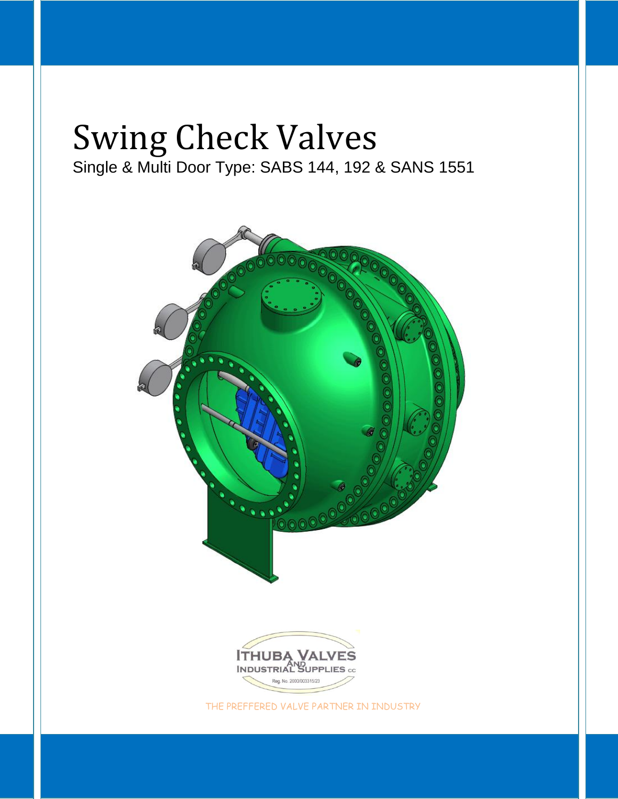# Swing Check Valves Single & Multi Door Type: SABS 144, 192 & SANS 1551

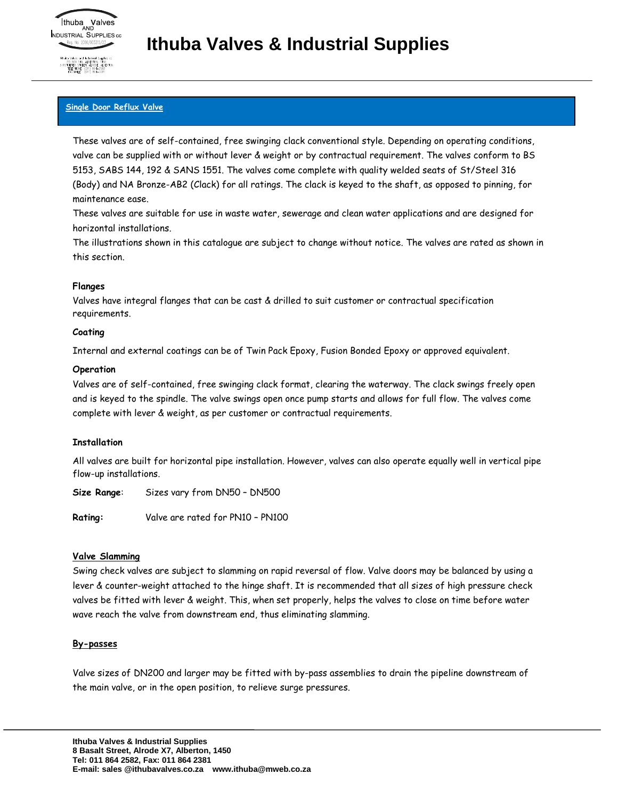#### **Single Door Reflux Valve**

These valves are of self-contained, free swinging clack conventional style. Depending on operating conditions, valve can be supplied with or without lever & weight or by contractual requirement. The valves conform to BS 5153, SABS 144, 192 & SANS 1551. The valves come complete with quality welded seats of St/Steel 316 (Body) and NA Bronze-AB2 (Clack) for all ratings. The clack is keyed to the shaft, as opposed to pinning, for maintenance ease.

These valves are suitable for use in waste water, sewerage and clean water applications and are designed for horizontal installations.

The illustrations shown in this catalogue are subject to change without notice. The valves are rated as shown in this section.

#### **Flanges**

Valves have integral flanges that can be cast & drilled to suit customer or contractual specification requirements.

#### **Coating**

Internal and external coatings can be of Twin Pack Epoxy, Fusion Bonded Epoxy or approved equivalent.

#### **Operation**

Valves are of self-contained, free swinging clack format, clearing the waterway. The clack swings freely open and is keyed to the spindle. The valve swings open once pump starts and allows for full flow. The valves come complete with lever & weight, as per customer or contractual requirements.

#### **Installation**

All valves are built for horizontal pipe installation. However, valves can also operate equally well in vertical pipe flow-up installations.

**Size Range**: Sizes vary from DN50 – DN500

**Rating:** Valve are rated for PN10 – PN100

#### **Valve Slamming**

Swing check valves are subject to slamming on rapid reversal of flow. Valve doors may be balanced by using a lever & counter-weight attached to the hinge shaft. It is recommended that all sizes of high pressure check valves be fitted with lever & weight. This, when set properly, helps the valves to close on time before water wave reach the valve from downstream end, thus eliminating slamming.

#### **By-passes**

Valve sizes of DN200 and larger may be fitted with by-pass assemblies to drain the pipeline downstream of the main valve, or in the open position, to relieve surge pressures.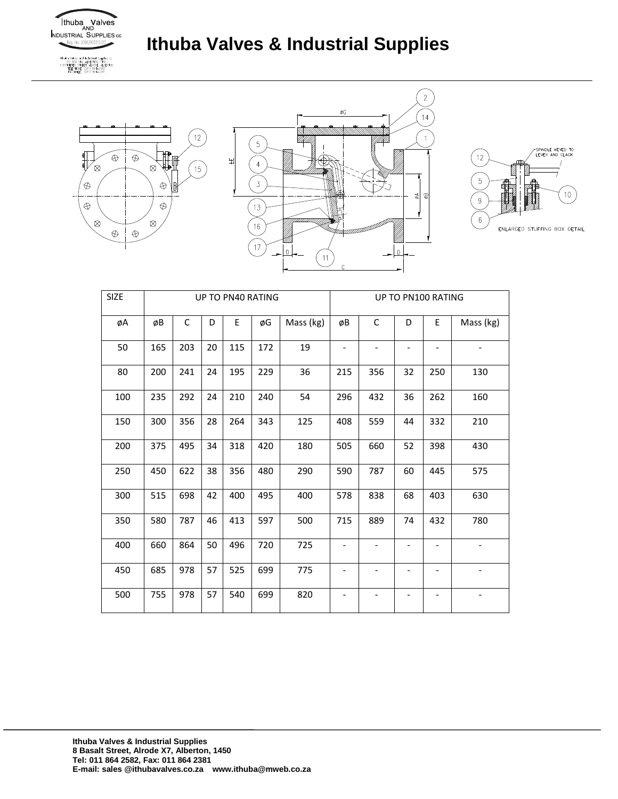

Thubo Valves and Industrial Supplies co.<br>PO BOX 149, ALBERTON, 1450<br>3 POTAETER STREET, ALRONE, ALBERTON<br>TELEPHONE: (011) 864-2582<br>FACSMILE: (011) 864-2381

# **Ithuba Valves & Industrial Supplies**







| <b>SIZE</b> |     |     |    | UP TO PN40 RATING |     |           | UP TO PN100 RATING       |                              |                   |                   |           |
|-------------|-----|-----|----|-------------------|-----|-----------|--------------------------|------------------------------|-------------------|-------------------|-----------|
| øΑ          | øB  | С   | D  | E                 | øG  | Mass (kg) | øB                       | С                            | D                 | E                 | Mass (kg) |
| 50          | 165 | 203 | 20 | 115               | 172 | 19        | $\overline{\phantom{a}}$ |                              |                   |                   |           |
| 80          | 200 | 241 | 24 | 195               | 229 | 36        | 215                      | 356                          | 32                | 250               | 130       |
| 100         | 235 | 292 | 24 | 210               | 240 | 54        | 296                      | 432                          | 36                | 262               | 160       |
| 150         | 300 | 356 | 28 | 264               | 343 | 125       | 408                      | 559                          | 44                | 332               | 210       |
| 200         | 375 | 495 | 34 | 318               | 420 | 180       | 505                      | 660                          | 52                | 398               | 430       |
| 250         | 450 | 622 | 38 | 356               | 480 | 290       | 590                      | 787                          | 60                | 445               | 575       |
| 300         | 515 | 698 | 42 | 400               | 495 | 400       | 578                      | 838                          | 68                | 403               | 630       |
| 350         | 580 | 787 | 46 | 413               | 597 | 500       | 715                      | 889                          | 74                | 432               | 780       |
| 400         | 660 | 864 | 50 | 496               | 720 | 725       | $\overline{\phantom{a}}$ | $\overline{a}$               | $\qquad \qquad -$ | $\qquad \qquad -$ |           |
| 450         | 685 | 978 | 57 | 525               | 699 | 775       |                          | $\qquad \qquad \blacksquare$ |                   |                   |           |
| 500         | 755 | 978 | 57 | 540               | 699 | 820       |                          | $\overline{a}$               |                   |                   |           |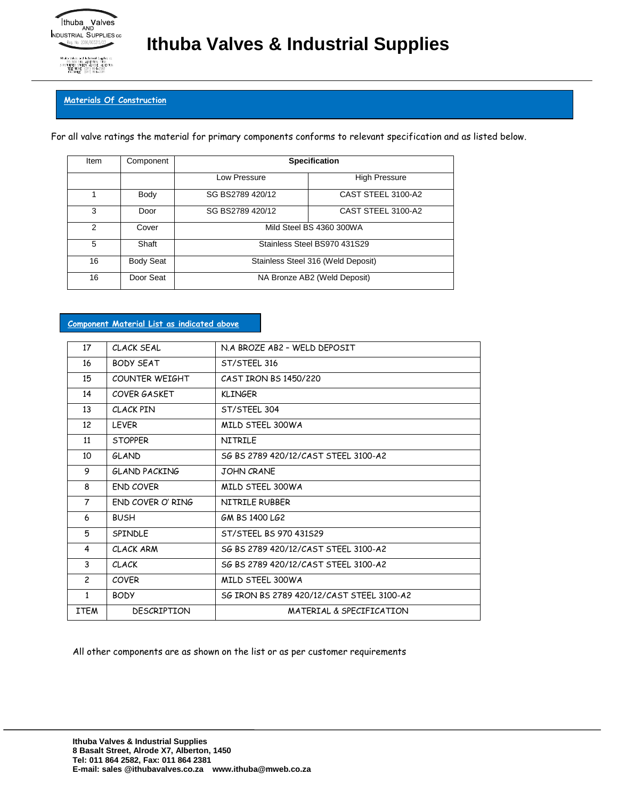

**Materials Of Construction**

N. 1450<br>DE ALBERTON

For all valve ratings the material for primary components conforms to relevant specification and as listed below.

| Item          | Component        | <b>Specification</b>               |                      |  |  |  |  |  |  |  |
|---------------|------------------|------------------------------------|----------------------|--|--|--|--|--|--|--|
|               |                  | Low Pressure                       | <b>High Pressure</b> |  |  |  |  |  |  |  |
|               | Body             | SG BS2789 420/12                   | CAST STEEL 3100-A2   |  |  |  |  |  |  |  |
| 3             | Door             | SG BS2789 420/12                   | CAST STEEL 3100-A2   |  |  |  |  |  |  |  |
| $\mathcal{P}$ | Cover            | Mild Steel BS 4360 300WA           |                      |  |  |  |  |  |  |  |
| 5             | Shaft            | Stainless Steel BS970 431S29       |                      |  |  |  |  |  |  |  |
| 16            | <b>Body Seat</b> | Stainless Steel 316 (Weld Deposit) |                      |  |  |  |  |  |  |  |
| 16            | Door Seat        | NA Bronze AB2 (Weld Deposit)       |                      |  |  |  |  |  |  |  |

#### **Component Material List as indicated above**

| 17             | CLACK SFAL         | N.A BROZF AB2 - WFLD DFPOSIT              |
|----------------|--------------------|-------------------------------------------|
| 16             | <b>BODY SFAT</b>   | ST/STFFL 316                              |
| 15             | COUNTER WEIGHT     | CAST IRON BS 1450/220                     |
| 14             | COVER GASKET       | <b>KLINGER</b>                            |
| 13             | CLACK PIN          | ST/STEEL 304                              |
| 12             | <b>LEVER</b>       | MILD STEEL 300WA                          |
| 11             | <b>STOPPER</b>     | <b>NITRILF</b>                            |
| 10             | <b>GLAND</b>       | SG BS 2789 420/12/CAST STFFL 3100-A2      |
| 9              | GLAND PACKING      | <b>JOHN CRANE</b>                         |
| 8              | END COVER          | MILD STEEL 300WA                          |
| $\overline{7}$ | FND COVER O' RING  | NITRILF RUBBFR                            |
| 6              | <b>BUSH</b>        | GM BS 1400 LG2                            |
| 5              | <b>SPINDLE</b>     | ST/STEEL BS 970 431529                    |
| 4              | CLACK ARM          | SG BS 2789 420/12/CAST STFFL 3100-A2      |
| 3              | <b>CLACK</b>       | SG BS 2789 420/12/CAST STFFL 3100-A2      |
| $\overline{c}$ | <b>COVFR</b>       | MILD STFFL 300WA                          |
| $\mathbf{1}$   | <b>BODY</b>        | SG IRON BS 2789 420/12/CAST STEEL 3100-A2 |
| ITEM           | <b>DESCRIPTION</b> | MATERIAL & SPECIFICATION                  |

All other components are as shown on the list or as per customer requirements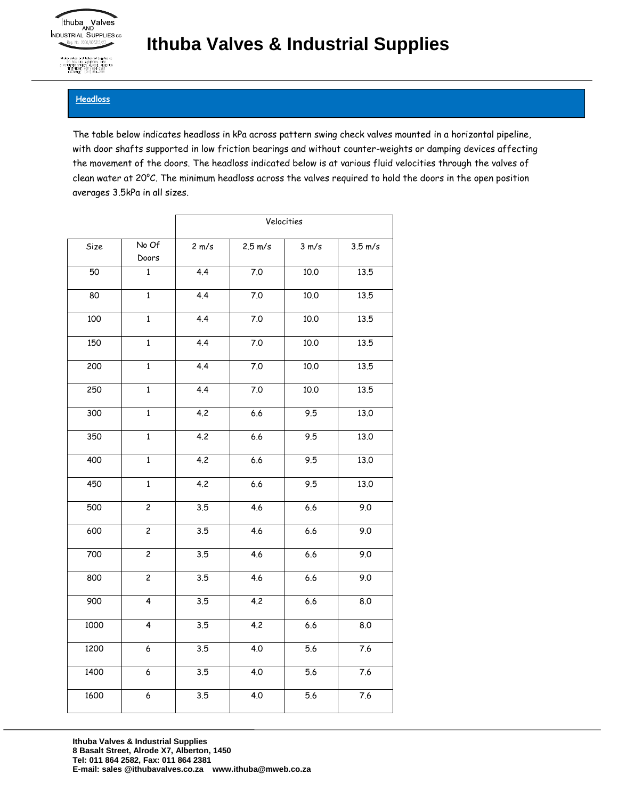

Through View 149, ALBERTON, 1450<br>3 POTGLETER STREET, ALRODE, NJBC<br>3 POTGLETER STREET, ALRODE, NJBC<br>TELEPHONE: (011) 864–2582

### **Ithuba Valves & Industrial Supplies**

### **Headloss**

The table below indicates headloss in kPa across pattern swing check valves mounted in a horizontal pipeline, with door shafts supported in low friction bearings and without counter-weights or damping devices affecting the movement of the doors. The headloss indicated below is at various fluid velocities through the valves of clean water at 20°C. The minimum headloss across the valves required to hold the doors in the open position averages 3.5kPa in all sizes.

|      |                | Velocities       |                   |         |                   |  |  |  |  |
|------|----------------|------------------|-------------------|---------|-------------------|--|--|--|--|
| Size | No Of<br>Doors | 2 m/s            | $2.5 \text{ m/s}$ | 3 m/s   | $3.5 \text{ m/s}$ |  |  |  |  |
| 50   | $\mathbf{1}$   | 4.4              | 7.0               | 10.0    | 13.5              |  |  |  |  |
| 80   | $\overline{1}$ | 4.4              | $7.0\,$           | 10.0    | 13.5              |  |  |  |  |
| 100  | $\mathbf{1}$   | 4.4              | $7.0\,$           | 10.0    | 13.5              |  |  |  |  |
| 150  | $\mathbf{1}$   | 4.4              | $7.0$             | 10.0    | 13.5              |  |  |  |  |
| 200  | $\overline{1}$ | 4.4              | $7.0\,$           | 10.0    | 13.5              |  |  |  |  |
| 250  | $\overline{1}$ | 4.4              | $7.0\,$           | 10.0    | 13.5              |  |  |  |  |
| 300  | $\mathbf{1}$   | 4.2              | 6.6               | 9.5     | 13.0              |  |  |  |  |
| 350  | $\mathbf{1}$   | 4.2              | 6.6               | 9.5     | 13.0              |  |  |  |  |
| 400  | $\mathbf{1}$   | 4.2              | $6.6\,$           | 9.5     | 13.0              |  |  |  |  |
| 450  | $\mathbf 1$    | 4.2              | 6.6               |         | 13.0              |  |  |  |  |
| 500  | $\overline{c}$ | $\overline{3.5}$ | 4.6               | 6.6     | 9.0               |  |  |  |  |
| 600  | $\overline{2}$ | 3.5              | $\overline{4.6}$  | $6.6$   | 9.0               |  |  |  |  |
| 700  | $\overline{2}$ | 3.5              | 4.6               | $6.6\,$ | 9.0               |  |  |  |  |
| 800  | $\overline{2}$ | 3.5              | 4.6               | $6.6$   | 9.0               |  |  |  |  |
| 900  | $\overline{4}$ | 3.5              | 4.2               | 6.6     | 8.0               |  |  |  |  |
| 1000 | $\overline{4}$ | $\overline{3.5}$ | 4.2               | 6.6     | 8.0               |  |  |  |  |
| 1200 | 6              | 3.5              | 4.0               | 5.6     | 7.6               |  |  |  |  |
| 1400 | 6              | 3.5              | 4.0               | 5.6     | 7.6               |  |  |  |  |
| 1600 | 6              | 3.5              | 4.0               | 5.6     | 7.6               |  |  |  |  |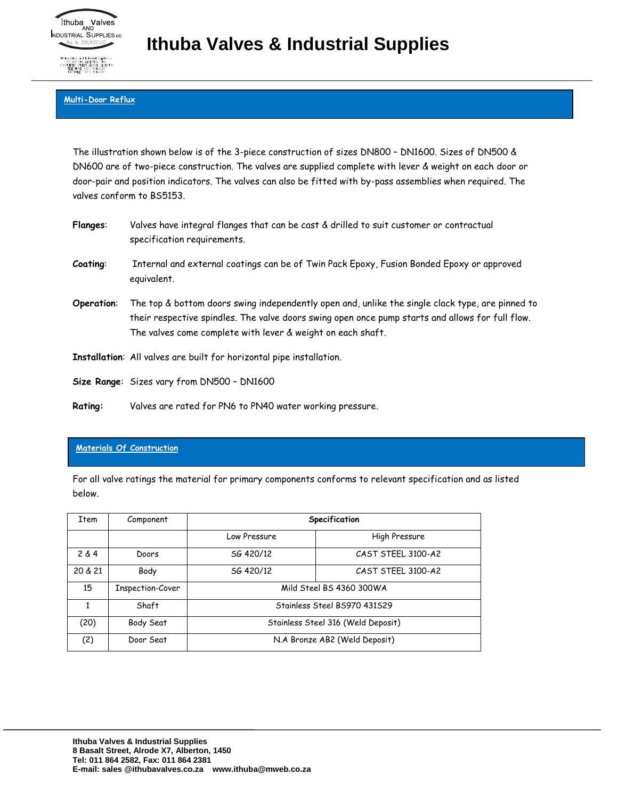

## **Ithuba Valves & Industrial Supplies**

### **Multi-Door Reflux**

The illustration shown below is of the 3-piece construction of sizes DN800 – DN1600. Sizes of DN500 & DN600 are of two-piece construction. The valves are supplied complete with lever & weight on each door or door-pair and position indicators. The valves can also be fitted with by-pass assemblies when required. The valves conform to BS5153.

| <b>Flanges:</b> | Valves have integral flanges that can be cast & drilled to suit customer or contractual<br>specification requirements.                                                                                                                                              |
|-----------------|---------------------------------------------------------------------------------------------------------------------------------------------------------------------------------------------------------------------------------------------------------------------|
| Coating:        | Internal and external coatings can be of Twin Pack Epoxy, Fusion Bonded Epoxy or approved<br>equivalent.                                                                                                                                                            |
| Operation:      | The top & bottom doors swing independently open and, unlike the single clack type, are pinned to<br>their respective spindles. The valve doors swing open once pump starts and allows for full flow.<br>The valves come complete with lever & weight on each shaft. |
|                 | Installation: All valves are built for horizontal pipe installation.                                                                                                                                                                                                |
|                 | Size Range: Sizes vary from DN500 - DN1600                                                                                                                                                                                                                          |

**Rating:** Valves are rated for PN6 to PN40 water working pressure.

### **Materials Of Construction**

For all valve ratings the material for primary components conforms to relevant specification and as listed below.

| Item    | Component        | Specification                      |                              |  |  |  |  |  |  |
|---------|------------------|------------------------------------|------------------------------|--|--|--|--|--|--|
|         |                  | Low Pressure                       | High Pressure                |  |  |  |  |  |  |
| 2 & 4   | Doors            | SG 420/12                          | CAST STEEL 3100-A2           |  |  |  |  |  |  |
| 20 & 21 | Body             | SG 420/12                          | CAST STEEL 3100-A2           |  |  |  |  |  |  |
| 15      | Inspection-Cover | Mild Steel BS 4360 300WA           |                              |  |  |  |  |  |  |
|         | Shaft            |                                    | Stainless Steel BS970 431529 |  |  |  |  |  |  |
| (20)    | Body Seat        | Stainless Steel 316 (Weld Deposit) |                              |  |  |  |  |  |  |
| (2)     | Door Seat        | N.A Bronze AB2 (Weld Deposit)      |                              |  |  |  |  |  |  |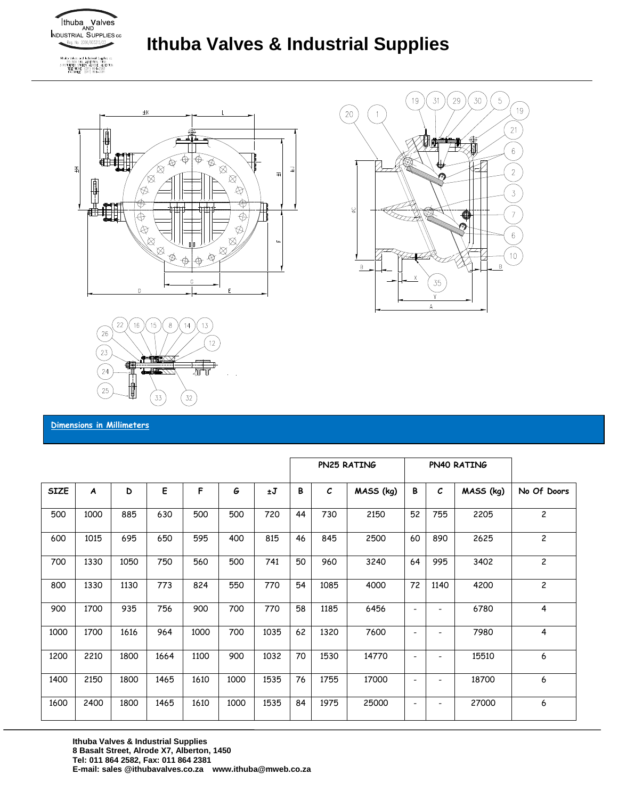

PO BOX 149, ALBERTON, 1450<br>3 POTGETER STREET, ALRODE, ALBERTON<br>TELEPHONE: (011) 864-2582<br>EACCHINE: (011) 864-2581

## **Ithuba Valves & Industrial Supplies**







**Dimensions in Millimeters**

|             |      |      |      |      |      |      | PN25 RATING |               |           |                          | PN40 RATING   |           |                |
|-------------|------|------|------|------|------|------|-------------|---------------|-----------|--------------------------|---------------|-----------|----------------|
| <b>SIZE</b> | A    | D    | E    | F    | G    | ±J   | B           | $\mathcal{C}$ | MASS (kg) | В                        | $\mathcal{C}$ | MASS (kg) | No Of Doors    |
| 500         | 1000 | 885  | 630  | 500  | 500  | 720  | 44          | 730           | 2150      | 52                       | 755           | 2205      | $\overline{c}$ |
| 600         | 1015 | 695  | 650  | 595  | 400  | 815  | 46          | 845           | 2500      | 60                       | 890           | 2625      | $\overline{c}$ |
| 700         | 1330 | 1050 | 750  | 560  | 500  | 741  | 50          | 960           | 3240      | 64                       | 995           | 3402      | $\overline{c}$ |
| 800         | 1330 | 1130 | 773  | 824  | 550  | 770  | 54          | 1085          | 4000      | 72                       | 1140          | 4200      | $\overline{c}$ |
| 900         | 1700 | 935  | 756  | 900  | 700  | 770  | 58          | 1185          | 6456      | $\overline{\phantom{a}}$ |               | 6780      | 4              |
| 1000        | 1700 | 1616 | 964  | 1000 | 700  | 1035 | 62          | 1320          | 7600      | $\overline{\phantom{a}}$ |               | 7980      | $\overline{4}$ |
| 1200        | 2210 | 1800 | 1664 | 1100 | 900  | 1032 | 70          | 1530          | 14770     | $\overline{\phantom{a}}$ |               | 15510     | 6              |
| 1400        | 2150 | 1800 | 1465 | 1610 | 1000 | 1535 | 76          | 1755          | 17000     | $\overline{\phantom{a}}$ |               | 18700     | 6              |
| 1600        | 2400 | 1800 | 1465 | 1610 | 1000 | 1535 | 84          | 1975          | 25000     | $\overline{\phantom{a}}$ | -             | 27000     | 6              |